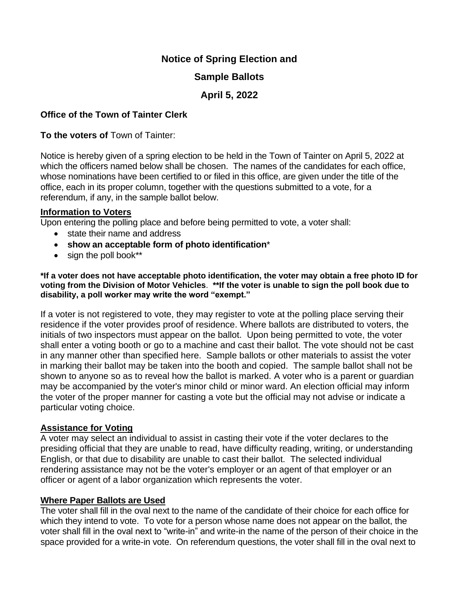# **Notice of Spring Election and**

# **Sample Ballots**

# **April 5, 2022**

### **Office of the Town of Tainter Clerk**

**To the voters of** Town of Tainter:

Notice is hereby given of a spring election to be held in the Town of Tainter on April 5, 2022 at which the officers named below shall be chosen. The names of the candidates for each office, whose nominations have been certified to or filed in this office, are given under the title of the office, each in its proper column, together with the questions submitted to a vote, for a referendum, if any, in the sample ballot below.

#### **Information to Voters**

Upon entering the polling place and before being permitted to vote, a voter shall:

- state their name and address
- **show an acceptable form of photo identification**\*
- sign the poll book\*\*

**\*If a voter does not have acceptable photo identification, the voter may obtain a free photo ID for voting from the Division of Motor Vehicles**. **\*\*If the voter is unable to sign the poll book due to disability, a poll worker may write the word "exempt."**

If a voter is not registered to vote, they may register to vote at the polling place serving their residence if the voter provides proof of residence. Where ballots are distributed to voters, the initials of two inspectors must appear on the ballot. Upon being permitted to vote, the voter shall enter a voting booth or go to a machine and cast their ballot. The vote should not be cast in any manner other than specified here. Sample ballots or other materials to assist the voter in marking their ballot may be taken into the booth and copied. The sample ballot shall not be shown to anyone so as to reveal how the ballot is marked. A voter who is a parent or guardian may be accompanied by the voter's minor child or minor ward. An election official may inform the voter of the proper manner for casting a vote but the official may not advise or indicate a particular voting choice.

#### **Assistance for Voting**

A voter may select an individual to assist in casting their vote if the voter declares to the presiding official that they are unable to read, have difficulty reading, writing, or understanding English, or that due to disability are unable to cast their ballot. The selected individual rendering assistance may not be the voter's employer or an agent of that employer or an officer or agent of a labor organization which represents the voter.

#### **Where Paper Ballots are Used**

The voter shall fill in the oval next to the name of the candidate of their choice for each office for which they intend to vote. To vote for a person whose name does not appear on the ballot, the voter shall fill in the oval next to "write-in" and write-in the name of the person of their choice in the space provided for a write-in vote. On referendum questions, the voter shall fill in the oval next to